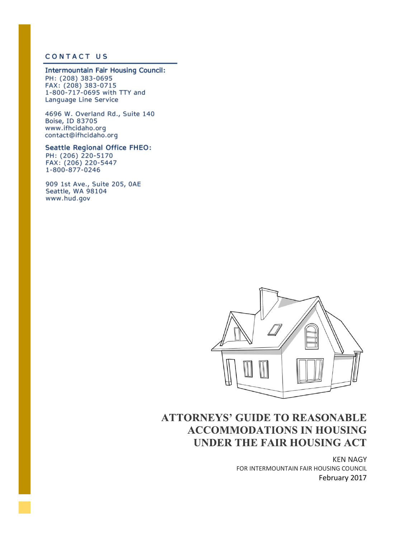#### **CONTACT US**

#### Intermountain Fair Housing Council:

PH: (208) 383-0695 FAX: (208) 383-0715 1-800-717-0695 with TTY and Language Line Service

4696 W. Overland Rd., Suite 140 Boise, ID 83705 www.ifhcidaho.org contact@ifhcidaho.org

#### Seattle Regional Office FHEO: PH: (206) 220-5170 FAX: (206) 220-5447

1-800-877-0246 909 1st Ave., Suite 205, 0AE

Seattle, WA 98104 www.hud.gov



# **ATTORNEYS' GUIDE TO REASONABLE ACCOMMODATIONS IN HOUSING UNDER THE FAIR HOUSING ACT**

KEN NAGY FOR INTERMOUNTAIN FAIR HOUSING COUNCIL February 2017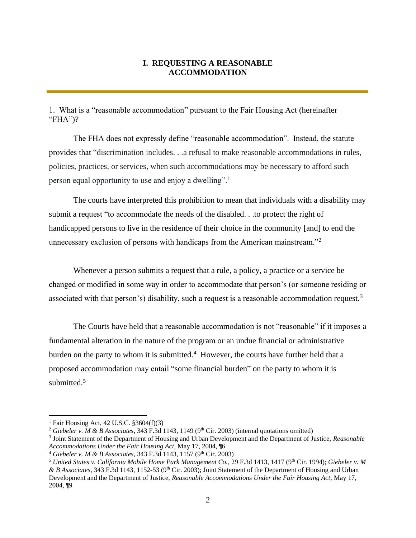# **I. REQUESTING A REASONABLE ACCOMMODATION**

1. What is a "reasonable accommodation" pursuant to the Fair Housing Act (hereinafter "FHA")?

The FHA does not expressly define "reasonable accommodation". Instead, the statute provides that "discrimination includes. . .a refusal to make reasonable accommodations in rules, policies, practices, or services, when such accommodations may be necessary to afford such person equal opportunity to use and enjoy a dwelling".<sup>1</sup>

The courts have interpreted this prohibition to mean that individuals with a disability may submit a request "to accommodate the needs of the disabled. . .to protect the right of handicapped persons to live in the residence of their choice in the community [and] to end the unnecessary exclusion of persons with handicaps from the American mainstream."<sup>2</sup>

Whenever a person submits a request that a rule, a policy, a practice or a service be changed or modified in some way in order to accommodate that person's (or someone residing or associated with that person's) disability, such a request is a reasonable accommodation request.<sup>3</sup>

The Courts have held that a reasonable accommodation is not "reasonable" if it imposes a fundamental alteration in the nature of the program or an undue financial or administrative burden on the party to whom it is submitted.<sup>4</sup> However, the courts have further held that a proposed accommodation may entail "some financial burden" on the party to whom it is submitted.<sup>5</sup>

<sup>&</sup>lt;sup>1</sup> Fair Housing Act, 42 U.S.C.  $$3604(f)(3)$ 

<sup>&</sup>lt;sup>2</sup> Giebeler v. M & B Associates, 343 F.3d 1143, 1149 (9<sup>th</sup> Cir. 2003) (internal quotations omitted)

<sup>3</sup> Joint Statement of the Department of Housing and Urban Development and the Department of Justice, *Reasonable Accommodations Under the Fair Housing Act*, May 17, 2004, ¶6

<sup>&</sup>lt;sup>4</sup> Giebeler v. M & B Associates, 343 F.3d 1143, 1157 (9<sup>th</sup> Cir. 2003)

<sup>&</sup>lt;sup>5</sup> United States v. California Mobile Home Park Management Co., 29 F.3d 1413, 1417 (9<sup>th</sup> Cir. 1994); Giebeler v. M *& B Associates*, 343 F.3d 1143, 1152-53 (9th Cir. 2003); Joint Statement of the Department of Housing and Urban Development and the Department of Justice, *Reasonable Accommodations Under the Fair Housing Act*, May 17, 2004, ¶9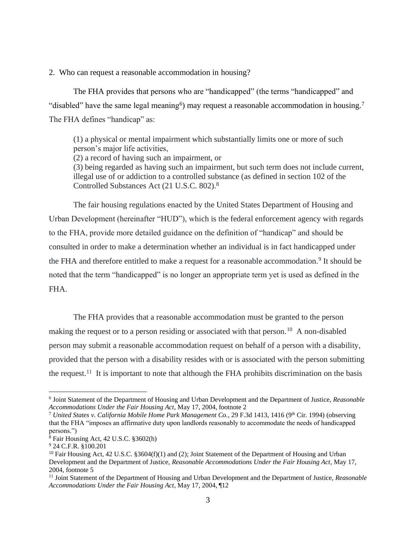2. Who can request a reasonable accommodation in housing?

The FHA provides that persons who are "handicapped" (the terms "handicapped" and "disabled" have the same legal meaning<sup>6</sup>) may request a reasonable accommodation in housing.<sup>7</sup> The FHA defines "handicap" as:

(1) a physical or mental impairment which substantially limits one or more of such person's major life activities,

(2) a record of having such an impairment, or

(3) being regarded as having such an impairment, but such term does not include current, illegal use of or addiction to a controlled substance (as defined in section 102 of the Controlled Substances Act (21 U.S.C. 802).<sup>8</sup>

The fair housing regulations enacted by the United States Department of Housing and Urban Development (hereinafter "HUD"), which is the federal enforcement agency with regards to the FHA, provide more detailed guidance on the definition of "handicap" and should be consulted in order to make a determination whether an individual is in fact handicapped under the FHA and therefore entitled to make a request for a reasonable accommodation.<sup>9</sup> It should be noted that the term "handicapped" is no longer an appropriate term yet is used as defined in the FHA.

The FHA provides that a reasonable accommodation must be granted to the person making the request or to a person residing or associated with that person.<sup>10</sup> A non-disabled person may submit a reasonable accommodation request on behalf of a person with a disability, provided that the person with a disability resides with or is associated with the person submitting the request.<sup>11</sup> It is important to note that although the FHA prohibits discrimination on the basis

<sup>6</sup> Joint Statement of the Department of Housing and Urban Development and the Department of Justice, *Reasonable Accommodations Under the Fair Housing Act*, May 17, 2004, footnote 2

<sup>&</sup>lt;sup>7</sup> United States v. California Mobile Home Park Management Co., 29 F.3d 1413, 1416 (9<sup>th</sup> Cir. 1994) (observing that the FHA "imposes an affirmative duty upon landlords reasonably to accommodate the needs of handicapped persons.")

<sup>8</sup> Fair Housing Act, 42 U.S.C. §3602(h)

<sup>9</sup> 24 C.F.R. §100.201

<sup>&</sup>lt;sup>10</sup> Fair Housing Act, 42 U.S.C. §3604(f)(1) and (2); Joint Statement of the Department of Housing and Urban Development and the Department of Justice, *Reasonable Accommodations Under the Fair Housing Act*, May 17, 2004, footnote 5

<sup>11</sup> Joint Statement of the Department of Housing and Urban Development and the Department of Justice, *Reasonable Accommodations Under the Fair Housing Act*, May 17, 2004, ¶12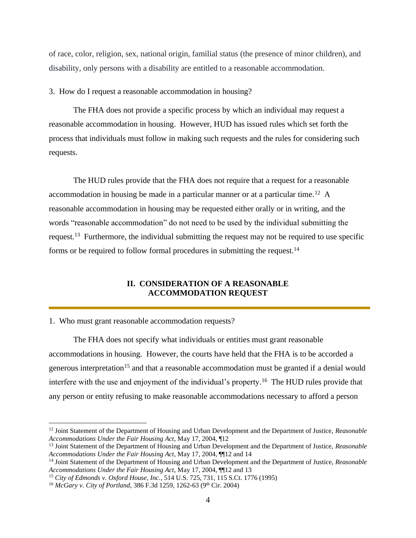of race, color, religion, sex, national origin, familial status (the presence of minor children), and disability, only persons with a disability are entitled to a reasonable accommodation.

3. How do I request a reasonable accommodation in housing?

The FHA does not provide a specific process by which an individual may request a reasonable accommodation in housing. However, HUD has issued rules which set forth the process that individuals must follow in making such requests and the rules for considering such requests.

The HUD rules provide that the FHA does not require that a request for a reasonable accommodation in housing be made in a particular manner or at a particular time.<sup>12</sup> A reasonable accommodation in housing may be requested either orally or in writing, and the words "reasonable accommodation" do not need to be used by the individual submitting the request.<sup>13</sup> Furthermore, the individual submitting the request may not be required to use specific forms or be required to follow formal procedures in submitting the request.<sup>14</sup>

# **II. CONSIDERATION OF A REASONABLE ACCOMMODATION REQUEST**

1. Who must grant reasonable accommodation requests?

The FHA does not specify what individuals or entities must grant reasonable accommodations in housing. However, the courts have held that the FHA is to be accorded a generous interpretation<sup>15</sup> and that a reasonable accommodation must be granted if a denial would interfere with the use and enjoyment of the individual's property.<sup>16</sup> The HUD rules provide that any person or entity refusing to make reasonable accommodations necessary to afford a person

<sup>12</sup> Joint Statement of the Department of Housing and Urban Development and the Department of Justice, *Reasonable Accommodations Under the Fair Housing Act*, May 17, 2004, ¶12

<sup>13</sup> Joint Statement of the Department of Housing and Urban Development and the Department of Justice, *Reasonable Accommodations Under the Fair Housing Act*, May 17, 2004, ¶¶12 and 14

<sup>14</sup> Joint Statement of the Department of Housing and Urban Development and the Department of Justice, *Reasonable Accommodations Under the Fair Housing Act*, May 17, 2004, ¶¶12 and 13

<sup>15</sup> *City of Edmonds v. Oxford House, Inc.*, 514 U.S. 725, 731, 115 S.Ct. 1776 (1995)

<sup>&</sup>lt;sup>16</sup> *McGary v. City of Portland*, 386 F.3d 1259, 1262-63 (9<sup>th</sup> Cir. 2004)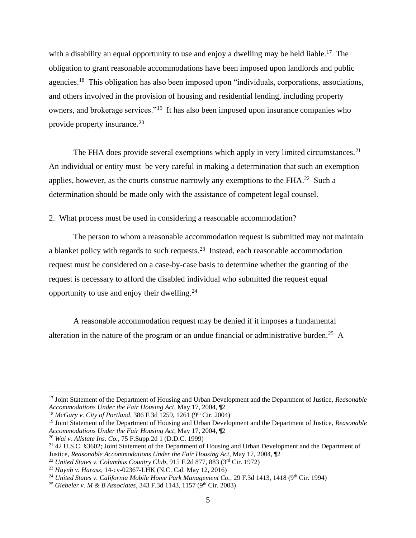with a disability an equal opportunity to use and enjoy a dwelling may be held liable.<sup>17</sup> The obligation to grant reasonable accommodations have been imposed upon landlords and public agencies.<sup>18</sup> This obligation has also been imposed upon "individuals, corporations, associations, and others involved in the provision of housing and residential lending, including property owners, and brokerage services."<sup>19</sup> It has also been imposed upon insurance companies who provide property insurance.<sup>20</sup>

The FHA does provide several exemptions which apply in very limited circumstances.<sup>21</sup> An individual or entity must be very careful in making a determination that such an exemption applies, however, as the courts construe narrowly any exemptions to the  $FHA.<sup>22</sup>$  Such a determination should be made only with the assistance of competent legal counsel.

2. What process must be used in considering a reasonable accommodation?

The person to whom a reasonable accommodation request is submitted may not maintain a blanket policy with regards to such requests.<sup>23</sup> Instead, each reasonable accommodation request must be considered on a case-by-case basis to determine whether the granting of the request is necessary to afford the disabled individual who submitted the request equal opportunity to use and enjoy their dwelling.<sup>24</sup>

A reasonable accommodation request may be denied if it imposes a fundamental alteration in the nature of the program or an undue financial or administrative burden.<sup>25</sup> A

<sup>17</sup> Joint Statement of the Department of Housing and Urban Development and the Department of Justice, *Reasonable Accommodations Under the Fair Housing Act*, May 17, 2004, ¶2

<sup>&</sup>lt;sup>18</sup> *McGary v. City of Portland*, 386 F.3d 1259, 1261 (9<sup>th</sup> Cir. 2004)

<sup>19</sup> Joint Statement of the Department of Housing and Urban Development and the Department of Justice, *Reasonable Accommodations Under the Fair Housing Act*, May 17, 2004, ¶2

<sup>20</sup> *Wai v. Allstate Ins. Co.*, 75 F.Supp.2d 1 (D.D.C. 1999)

<sup>21</sup> 42 U.S.C. §3602; Joint Statement of the Department of Housing and Urban Development and the Department of Justice, *Reasonable Accommodations Under the Fair Housing Act*, May 17, 2004, ¶2

<sup>22</sup> *United States v. Columbus Country Club*, 915 F.2d 877, 883 (3rd Cir. 1972)

<sup>23</sup> *Huynh v. Harasz*, 14-cv-02367-LHK (N.C. Cal. May 12, 2016)

<sup>&</sup>lt;sup>24</sup> United States v. California Mobile Home Park Management Co., 29 F.3d 1413, 1418 (9<sup>th</sup> Cir. 1994)

<sup>&</sup>lt;sup>25</sup> *Giebeler v. M & B Associates*, 343 F.3d 1143, 1157 (9<sup>th</sup> Cir. 2003)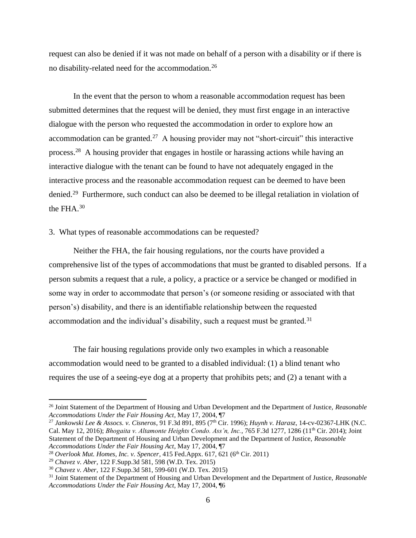request can also be denied if it was not made on behalf of a person with a disability or if there is no disability-related need for the accommodation.<sup>26</sup>

In the event that the person to whom a reasonable accommodation request has been submitted determines that the request will be denied, they must first engage in an interactive dialogue with the person who requested the accommodation in order to explore how an accommodation can be granted.<sup>27</sup> A housing provider may not "short-circuit" this interactive process.<sup>28</sup> A housing provider that engages in hostile or harassing actions while having an interactive dialogue with the tenant can be found to have not adequately engaged in the interactive process and the reasonable accommodation request can be deemed to have been denied.<sup>29</sup> Furthermore, such conduct can also be deemed to be illegal retaliation in violation of the FHA.<sup>30</sup>

## 3. What types of reasonable accommodations can be requested?

Neither the FHA, the fair housing regulations, nor the courts have provided a comprehensive list of the types of accommodations that must be granted to disabled persons. If a person submits a request that a rule, a policy, a practice or a service be changed or modified in some way in order to accommodate that person's (or someone residing or associated with that person's) disability, and there is an identifiable relationship between the requested accommodation and the individual's disability, such a request must be granted.<sup>31</sup>

The fair housing regulations provide only two examples in which a reasonable accommodation would need to be granted to a disabled individual: (1) a blind tenant who requires the use of a seeing-eye dog at a property that prohibits pets; and (2) a tenant with a

<sup>26</sup> Joint Statement of the Department of Housing and Urban Development and the Department of Justice, *Reasonable Accommodations Under the Fair Housing Act*, May 17, 2004, ¶7

<sup>27</sup> *Jankowski Lee & Assocs. v. Cisneros*, 91 F.3d 891, 895 (7th Cir. 1996); *Huynh v. Harasz*, 14-cv-02367-LHK (N.C. Cal. May 12, 2016); *Bhogaita v. Altamonte Heights Condo. Ass'n, Inc.*, 765 F.3d 1277, 1286 (11<sup>th</sup> Cir. 2014); Joint Statement of the Department of Housing and Urban Development and the Department of Justice, *Reasonable Accommodations Under the Fair Housing Act*, May 17, 2004, ¶7

<sup>&</sup>lt;sup>28</sup> Overlook Mut. Homes, Inc. v. Spencer, 415 Fed.Appx. 617, 621 (6<sup>th</sup> Cir. 2011)

<sup>29</sup> *Chavez v. Aber*, 122 F.Supp.3d 581, 598 (W.D. Tex. 2015)

<sup>30</sup> *Chavez v. Aber*, 122 F.Supp.3d 581, 599-601 (W.D. Tex. 2015)

<sup>31</sup> Joint Statement of the Department of Housing and Urban Development and the Department of Justice, *Reasonable Accommodations Under the Fair Housing Act*, May 17, 2004, ¶6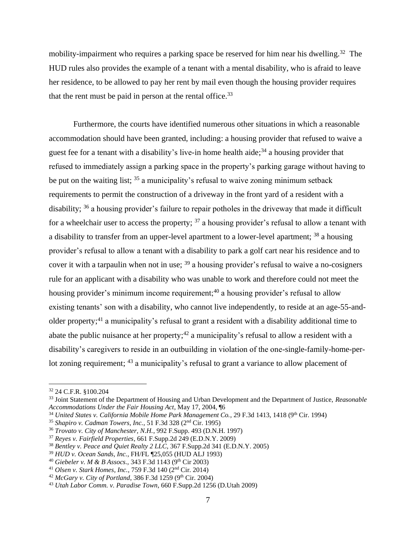mobility-impairment who requires a parking space be reserved for him near his dwelling.<sup>32</sup> The HUD rules also provides the example of a tenant with a mental disability, who is afraid to leave her residence, to be allowed to pay her rent by mail even though the housing provider requires that the rent must be paid in person at the rental office.<sup>33</sup>

Furthermore, the courts have identified numerous other situations in which a reasonable accommodation should have been granted, including: a housing provider that refused to waive a guest fee for a tenant with a disability's live-in home health aide;<sup>34</sup> a housing provider that refused to immediately assign a parking space in the property's parking garage without having to be put on the waiting list;  $35$  a municipality's refusal to waive zoning minimum setback requirements to permit the construction of a driveway in the front yard of a resident with a disability; <sup>36</sup> a housing provider's failure to repair potholes in the driveway that made it difficult for a wheelchair user to access the property;  $37$  a housing provider's refusal to allow a tenant with a disability to transfer from an upper-level apartment to a lower-level apartment; <sup>38</sup> a housing provider's refusal to allow a tenant with a disability to park a golf cart near his residence and to cover it with a tarpaulin when not in use;  $39$  a housing provider's refusal to waive a no-cosigners rule for an applicant with a disability who was unable to work and therefore could not meet the housing provider's minimum income requirement;<sup>40</sup> a housing provider's refusal to allow existing tenants' son with a disability, who cannot live independently, to reside at an age-55-andolder property;<sup>41</sup> a municipality's refusal to grant a resident with a disability additional time to abate the public nuisance at her property;<sup>42</sup> a municipality's refusal to allow a resident with a disability's caregivers to reside in an outbuilding in violation of the one-single-family-home-perlot zoning requirement; <sup>43</sup> a municipality's refusal to grant a variance to allow placement of

<sup>32</sup> 24 C.F.R. §100.204

<sup>33</sup> Joint Statement of the Department of Housing and Urban Development and the Department of Justice, *Reasonable Accommodations Under the Fair Housing Act*, May 17, 2004, ¶6

<sup>&</sup>lt;sup>34</sup> United States v. California Mobile Home Park Management Co., 29 F.3d 1413, 1418 (9<sup>th</sup> Cir. 1994)

<sup>35</sup> *Shapiro v. Cadman Towers, Inc.*, 51 F.3d 328 (2nd Cir. 1995)

<sup>36</sup> *Trovato v. City of Manchester, N.H.*, 992 F.Supp. 493 (D.N.H. 1997)

<sup>37</sup> *Reyes v. Fairfield Properties*, 661 F.Supp.2d 249 (E.D.N.Y. 2009)

<sup>38</sup> *Bentley v. Peace and Quiet Realty 2 LLC*, 367 F.Supp.2d 341 (E.D.N.Y. 2005)

<sup>39</sup> *HUD v. Ocean Sands, Inc.*, FH/FL ¶25,055 (HUD ALJ 1993)

<sup>40</sup> *Giebeler v. M & B Assocs.,* 343 F.3d 1143 (9th Cir 2003)

<sup>41</sup> *Olsen v. Stark Homes, Inc.*, 759 F.3d 140 (2nd Cir. 2014)

<sup>42</sup> *McGary v. City of Portland*, 386 F.3d 1259 (9<sup>th</sup> Cir. 2004)

<sup>43</sup> *Utah Labor Comm. v. Paradise Town*, 660 F.Supp.2d 1256 (D.Utah 2009)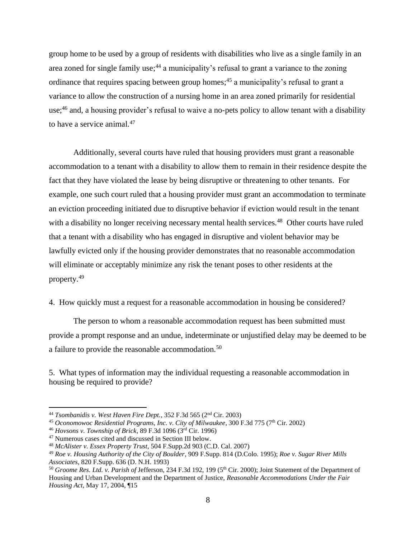group home to be used by a group of residents with disabilities who live as a single family in an area zoned for single family use;<sup>44</sup> a municipality's refusal to grant a variance to the zoning ordinance that requires spacing between group homes;<sup>45</sup> a municipality's refusal to grant a variance to allow the construction of a nursing home in an area zoned primarily for residential use;<sup>46</sup> and, a housing provider's refusal to waive a no-pets policy to allow tenant with a disability to have a service animal.<sup>47</sup>

Additionally, several courts have ruled that housing providers must grant a reasonable accommodation to a tenant with a disability to allow them to remain in their residence despite the fact that they have violated the lease by being disruptive or threatening to other tenants. For example, one such court ruled that a housing provider must grant an accommodation to terminate an eviction proceeding initiated due to disruptive behavior if eviction would result in the tenant with a disability no longer receiving necessary mental health services.<sup>48</sup> Other courts have ruled that a tenant with a disability who has engaged in disruptive and violent behavior may be lawfully evicted only if the housing provider demonstrates that no reasonable accommodation will eliminate or acceptably minimize any risk the tenant poses to other residents at the property.<sup>49</sup>

4. How quickly must a request for a reasonable accommodation in housing be considered?

The person to whom a reasonable accommodation request has been submitted must provide a prompt response and an undue, indeterminate or unjustified delay may be deemed to be a failure to provide the reasonable accommodation.<sup>50</sup>

5. What types of information may the individual requesting a reasonable accommodation in housing be required to provide?

<sup>44</sup> *Tsombanidis v. West Haven Fire Dept.*, 352 F.3d 565 (2nd Cir. 2003)

<sup>&</sup>lt;sup>45</sup> Oconomowoc Residential Programs, Inc. v. City of Milwaukee, 300 F.3d 775 (7<sup>th</sup> Cir. 2002)

<sup>46</sup> *Hovsons v. Township of Brick*, 89 F.3d 1096 (3rd Cir. 1996)

<sup>47</sup> Numerous cases cited and discussed in Section III below.

<sup>48</sup> *McAlister v. Essex Property Trust*, 504 F.Supp.2d 903 (C.D. Cal. 2007)

<sup>49</sup> *Roe v. Housing Authority of the City of Boulder*, 909 F.Supp. 814 (D.Colo. 1995); *Roe v. Sugar River Mills Associates*, 820 F.Supp. 636 (D. N.H. 1993)

<sup>&</sup>lt;sup>50</sup> Groome Res. Ltd. v. Parish of Jefferson, 234 F.3d 192, 199 (5<sup>th</sup> Cir. 2000); Joint Statement of the Department of Housing and Urban Development and the Department of Justice, *Reasonable Accommodations Under the Fair Housing Act*, May 17, 2004, ¶15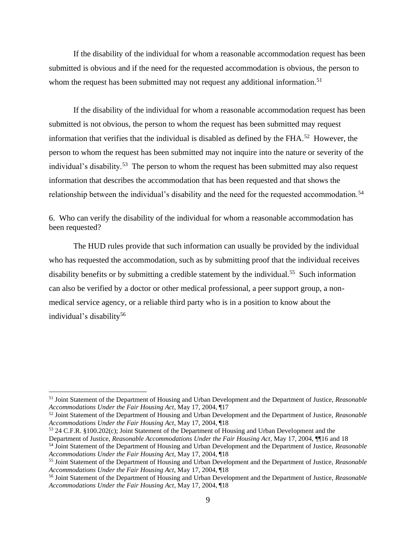If the disability of the individual for whom a reasonable accommodation request has been submitted is obvious and if the need for the requested accommodation is obvious, the person to whom the request has been submitted may not request any additional information.<sup>51</sup>

If the disability of the individual for whom a reasonable accommodation request has been submitted is not obvious, the person to whom the request has been submitted may request information that verifies that the individual is disabled as defined by the FHA. $52$  However, the person to whom the request has been submitted may not inquire into the nature or severity of the individual's disability.<sup>53</sup> The person to whom the request has been submitted may also request information that describes the accommodation that has been requested and that shows the relationship between the individual's disability and the need for the requested accommodation.<sup>54</sup>

6. Who can verify the disability of the individual for whom a reasonable accommodation has been requested?

The HUD rules provide that such information can usually be provided by the individual who has requested the accommodation, such as by submitting proof that the individual receives disability benefits or by submitting a credible statement by the individual.<sup>55</sup> Such information can also be verified by a doctor or other medical professional, a peer support group, a nonmedical service agency, or a reliable third party who is in a position to know about the individual's disability<sup>56</sup>

<sup>52</sup> Joint Statement of the Department of Housing and Urban Development and the Department of Justice, *Reasonable Accommodations Under the Fair Housing Act*, May 17, 2004, ¶18

Department of Justice, *Reasonable Accommodations Under the Fair Housing Act*, May 17, 2004, ¶¶16 and 18

<sup>51</sup> Joint Statement of the Department of Housing and Urban Development and the Department of Justice, *Reasonable Accommodations Under the Fair Housing Act*, May 17, 2004, ¶17

<sup>53</sup> 24 C.F.R. §100.202(c); Joint Statement of the Department of Housing and Urban Development and the

<sup>54</sup> Joint Statement of the Department of Housing and Urban Development and the Department of Justice, *Reasonable Accommodations Under the Fair Housing Act*, May 17, 2004, ¶18

<sup>55</sup> Joint Statement of the Department of Housing and Urban Development and the Department of Justice, *Reasonable Accommodations Under the Fair Housing Act*, May 17, 2004, ¶18

<sup>56</sup> Joint Statement of the Department of Housing and Urban Development and the Department of Justice, *Reasonable Accommodations Under the Fair Housing Act*, May 17, 2004, ¶18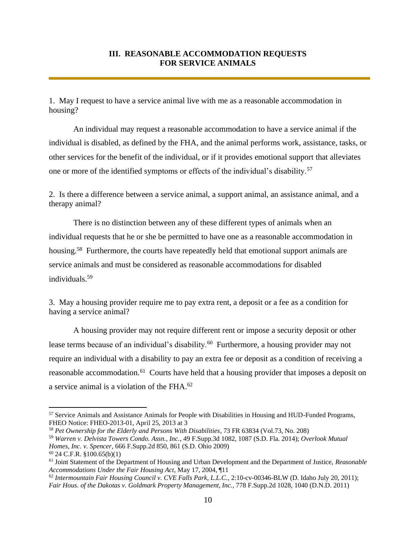# **III. REASONABLE ACCOMMODATION REQUESTS FOR SERVICE ANIMALS**

1. May I request to have a service animal live with me as a reasonable accommodation in housing?

An individual may request a reasonable accommodation to have a service animal if the individual is disabled, as defined by the FHA, and the animal performs work, assistance, tasks, or other services for the benefit of the individual, or if it provides emotional support that alleviates one or more of the identified symptoms or effects of the individual's disability.<sup>57</sup>

2. Is there a difference between a service animal, a support animal, an assistance animal, and a therapy animal?

There is no distinction between any of these different types of animals when an individual requests that he or she be permitted to have one as a reasonable accommodation in housing.<sup>58</sup> Furthermore, the courts have repeatedly held that emotional support animals are service animals and must be considered as reasonable accommodations for disabled individuals.<sup>59</sup>

3. May a housing provider require me to pay extra rent, a deposit or a fee as a condition for having a service animal?

A housing provider may not require different rent or impose a security deposit or other lease terms because of an individual's disability.<sup>60</sup> Furthermore, a housing provider may not require an individual with a disability to pay an extra fee or deposit as a condition of receiving a reasonable accommodation.<sup>61</sup> Courts have held that a housing provider that imposes a deposit on a service animal is a violation of the FHA.<sup>62</sup>

<sup>57</sup> Service Animals and Assistance Animals for People with Disabilities in Housing and HUD-Funded Programs, FHEO Notice: FHEO-2013-01, April 25, 2013 at 3

<sup>58</sup> *Pet Ownership for the Elderly and Persons With Disabilities*, 73 FR 63834 (Vol.73, No. 208)

<sup>59</sup> *Warren v. Delvista Towers Condo. Assn., Inc.*, 49 F.Supp.3d 1082, 1087 (S.D. Fla. 2014); *Overlook Mutual Homes, Inc. v. Spencer*, 666 F.Supp.2d 850, 861 (S.D. Ohio 2009)

<sup>60</sup> 24 C.F.R. §100.65(b)(1)

<sup>61</sup> Joint Statement of the Department of Housing and Urban Development and the Department of Justice, *Reasonable Accommodations Under the Fair Housing Act*, May 17, 2004, ¶11

<sup>62</sup> *Intermountain Fair Housing Council v. CVE Falls Park, L.L.C.*, 2:10-cv-00346-BLW (D. Idaho July 20, 2011); *Fair Hous. of the Dakotas v. Goldmark Property Management, Inc.*, 778 F.Supp.2d 1028, 1040 (D.N.D. 2011)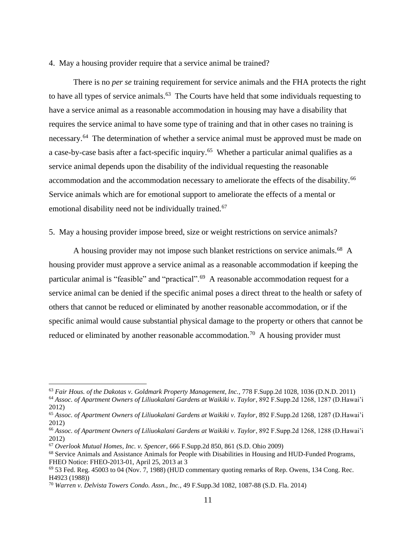#### 4. May a housing provider require that a service animal be trained?

There is no *per se* training requirement for service animals and the FHA protects the right to have all types of service animals.<sup>63</sup> The Courts have held that some individuals requesting to have a service animal as a reasonable accommodation in housing may have a disability that requires the service animal to have some type of training and that in other cases no training is necessary.<sup>64</sup> The determination of whether a service animal must be approved must be made on a case-by-case basis after a fact-specific inquiry.<sup>65</sup> Whether a particular animal qualifies as a service animal depends upon the disability of the individual requesting the reasonable accommodation and the accommodation necessary to ameliorate the effects of the disability.<sup>66</sup> Service animals which are for emotional support to ameliorate the effects of a mental or emotional disability need not be individually trained.<sup>67</sup>

### 5. May a housing provider impose breed, size or weight restrictions on service animals?

A housing provider may not impose such blanket restrictions on service animals.<sup>68</sup> A housing provider must approve a service animal as a reasonable accommodation if keeping the particular animal is "feasible" and "practical".<sup>69</sup> A reasonable accommodation request for a service animal can be denied if the specific animal poses a direct threat to the health or safety of others that cannot be reduced or eliminated by another reasonable accommodation, or if the specific animal would cause substantial physical damage to the property or others that cannot be reduced or eliminated by another reasonable accommodation.<sup>70</sup> A housing provider must

<sup>63</sup> *Fair Hous. of the Dakotas v. Goldmark Property Management, Inc.*, 778 F.Supp.2d 1028, 1036 (D.N.D. 2011)

<sup>64</sup> *Assoc. of Apartment Owners of Liliuokalani Gardens at Waikiki v. Taylor*, 892 F.Supp.2d 1268, 1287 (D.Hawai'i 2012)

<sup>65</sup> *Assoc. of Apartment Owners of Liliuokalani Gardens at Waikiki v. Taylor*, 892 F.Supp.2d 1268, 1287 (D.Hawai'i 2012)

<sup>66</sup> *Assoc. of Apartment Owners of Liliuokalani Gardens at Waikiki v. Taylor*, 892 F.Supp.2d 1268, 1288 (D.Hawai'i 2012)

<sup>67</sup> *Overlook Mutual Homes, Inc. v. Spencer*, 666 F.Supp.2d 850, 861 (S.D. Ohio 2009)

<sup>68</sup> Service Animals and Assistance Animals for People with Disabilities in Housing and HUD-Funded Programs, FHEO Notice: FHEO-2013-01, April 25, 2013 at 3

 $69$  53 Fed. Reg. 45003 to 04 (Nov. 7, 1988) (HUD commentary quoting remarks of Rep. Owens, 134 Cong. Rec. H4923 (1988))

<sup>70</sup> *Warren v. Delvista Towers Condo. Assn., Inc.*, 49 F.Supp.3d 1082, 1087-88 (S.D. Fla. 2014)